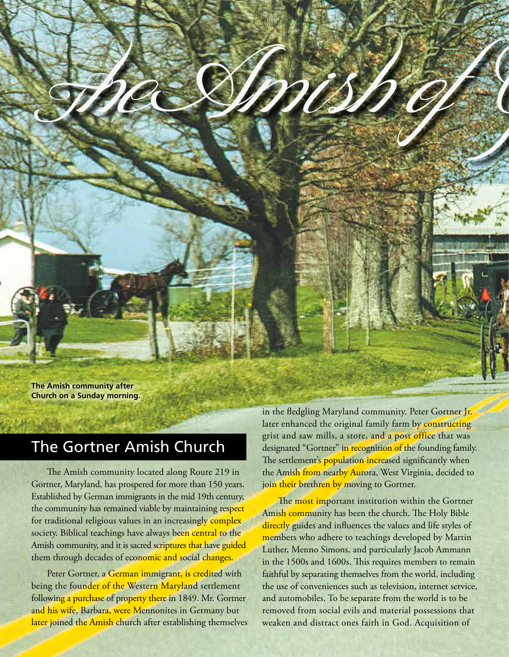

## The Gortner Amish Church

The Amish community located along Route 219 in Gortner, Maryland, has prospered for more than 150 years. Established by German immigrants in the mid 19th century, the community has remained viable by maintaining respect for traditional religious values in an increasingly complex society. Biblical teachings have always been central to the Amish community, and it is sacred scriptures that have guided them through decades of economic and social changes.

Peter Gortner, a German immigrant, is credited with being the founder of the Western Maryland settlement following a purchase of property there in 1849. Mr. Gortner and his wife, Barbara, were Mennonites in Germany but later joined the Amish church after establishing themselves in the fledgling Maryland community. Peter Gortner Jr. later enhanced the original family farm by constructing grist and saw mills, a store, and a post office that was designated "Gortner" in recognition of the founding family. The settlement's population increased significantly when the Amish from nearby Aurora, West Virginia, decided to join their brethren by moving to Gortner.

The most important institution within the Gortner Amish community has been the church. The Holy Bible directly guides and influences the values and life styles of members who adhere to teachings developed by Martin Luther, Menno Simons, and particularly Jacob Ammann in the 1500s and 1600s. This requires members to remain faithful by separating themselves from the world, including the use of conveniences such as television, internet service, and automobiles. To be separate from the world is to be removed from social evils and material possessions that weaken and distract ones faith in God. Acquisition of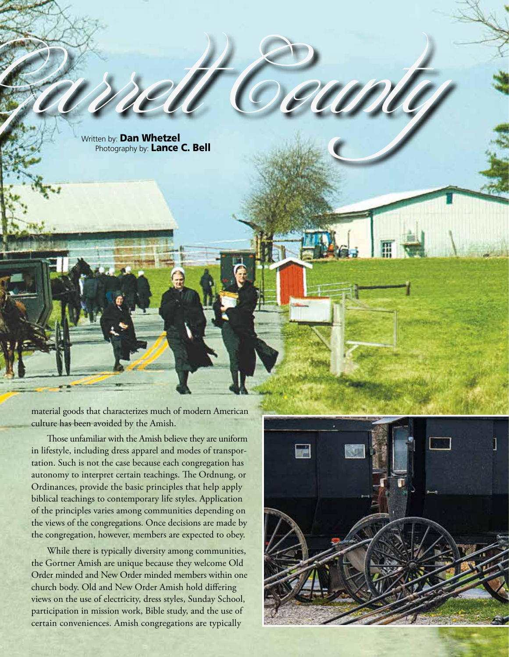Written by: **Dan Whetzel** Photography by: Lance C. Bell

material goods that characterizes much of modern American culture has been avoided by the Amish.

Those unfamiliar with the Amish believe they are uniform in lifestyle, including dress apparel and modes of transportation. Such is not the case because each congregation has autonomy to interpret certain teachings. The Ordnung, or Ordinances, provide the basic principles that help apply biblical teachings to contemporary life styles. Application of the principles varies among communities depending on the views of the congregations. Once decisions are made by the congregation, however, members are expected to obey.

While there is typically diversity among communities, the Gortner Amish are unique because they welcome Old Order minded and New Order minded members within one church body. Old and New Order Amish hold differing views on the use of electricity, dress styles, Sunday School, participation in mission work, Bible study, and the use of certain conveniences. Amish congregations are typically



m o u n d i s c o v e r i s 333

<u>CODICI</u>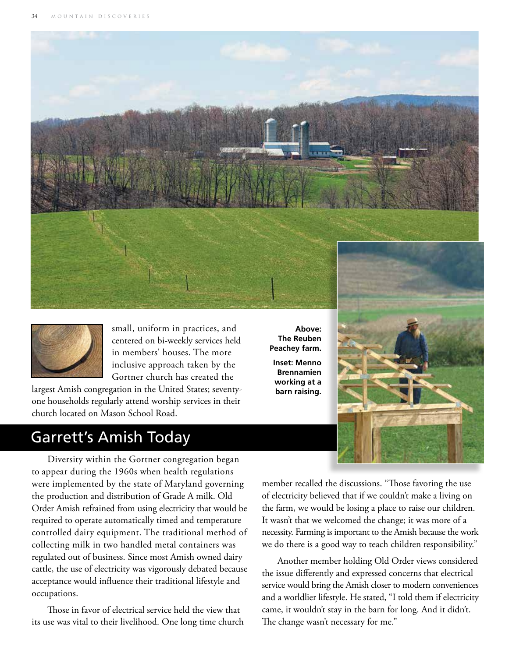



small, uniform in practices, and centered on bi-weekly services held in members' houses. The more inclusive approach taken by the Gortner church has created the

largest Amish congregation in the United States; seventyone households regularly attend worship services in their church located on Mason School Road.

## Garrett's Amish Today

Diversity within the Gortner congregation began to appear during the 1960s when health regulations were implemented by the state of Maryland governing the production and distribution of Grade A milk. Old Order Amish refrained from using electricity that would be required to operate automatically timed and temperature controlled dairy equipment. The traditional method of collecting milk in two handled metal containers was regulated out of business. Since most Amish owned dairy cattle, the use of electricity was vigorously debated because acceptance would influence their traditional lifestyle and occupations.

Those in favor of electrical service held the view that its use was vital to their livelihood. One long time church

**Above: The Reuben Peachey farm.**

**Inset: Menno Brennamien working at a barn raising.**



member recalled the discussions. "Those favoring the use of electricity believed that if we couldn't make a living on the farm, we would be losing a place to raise our children. It wasn't that we welcomed the change; it was more of a necessity. Farming is important to the Amish because the work we do there is a good way to teach children responsibility."

Another member holding Old Order views considered the issue differently and expressed concerns that electrical service would bring the Amish closer to modern conveniences and a worldlier lifestyle. He stated, "I told them if electricity came, it wouldn't stay in the barn for long. And it didn't. The change wasn't necessary for me."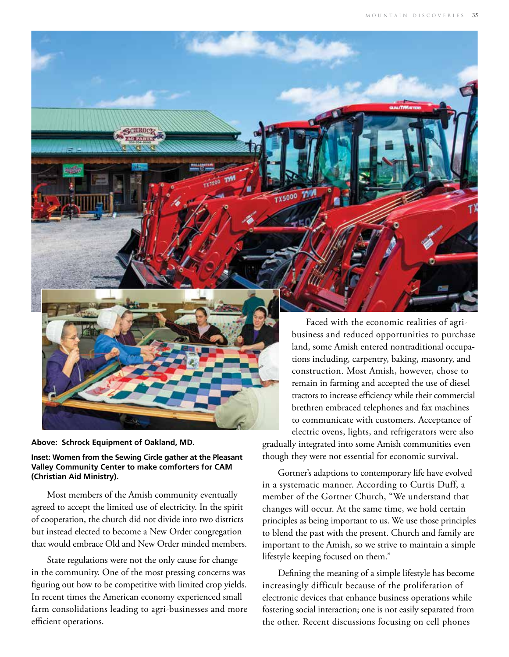



## **Inset: Women from the Sewing Circle gather at the Pleasant Valley Community Center to make comforters for CAM (Christian Aid Ministry).**

Most members of the Amish community eventually agreed to accept the limited use of electricity. In the spirit of cooperation, the church did not divide into two districts but instead elected to become a New Order congregation that would embrace Old and New Order minded members.

State regulations were not the only cause for change in the community. One of the most pressing concerns was figuring out how to be competitive with limited crop yields. In recent times the American economy experienced small farm consolidations leading to agri-businesses and more efficient operations.

 Faced with the economic realities of agribusiness and reduced opportunities to purchase land, some Amish entered nontraditional occupations including, carpentry, baking, masonry, and construction. Most Amish, however, chose to remain in farming and accepted the use of diesel tractors to increase efficiency while their commercial brethren embraced telephones and fax machines to communicate with customers. Acceptance of electric ovens, lights, and refrigerators were also gradually integrated into some Amish communities even though they were not essential for economic survival.

Gortner's adaptions to contemporary life have evolved in a systematic manner. According to Curtis Duff, a member of the Gortner Church, "We understand that changes will occur. At the same time, we hold certain principles as being important to us. We use those principles to blend the past with the present. Church and family are important to the Amish, so we strive to maintain a simple lifestyle keeping focused on them."

Defining the meaning of a simple lifestyle has become increasingly difficult because of the proliferation of electronic devices that enhance business operations while fostering social interaction; one is not easily separated from the other. Recent discussions focusing on cell phones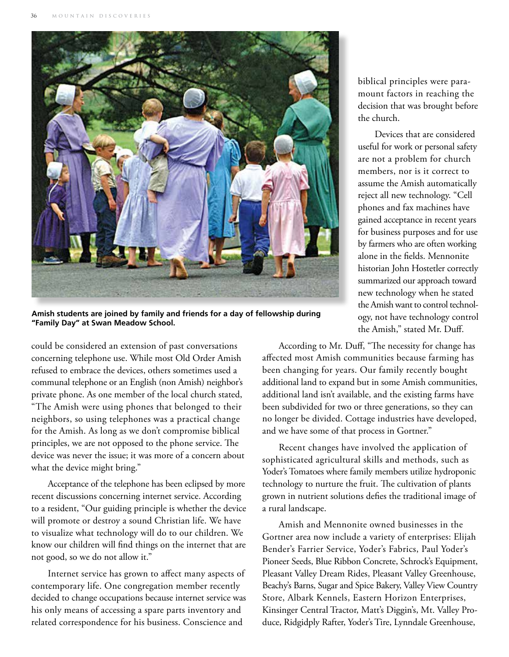

**Amish students are joined by family and friends for a day of fellowship during "Family Day" at Swan Meadow School.**

could be considered an extension of past conversations concerning telephone use. While most Old Order Amish refused to embrace the devices, others sometimes used a communal telephone or an English (non Amish) neighbor's private phone. As one member of the local church stated, "The Amish were using phones that belonged to their neighbors, so using telephones was a practical change for the Amish. As long as we don't compromise biblical principles, we are not opposed to the phone service. The device was never the issue; it was more of a concern about what the device might bring."

Acceptance of the telephone has been eclipsed by more recent discussions concerning internet service. According to a resident, "Our guiding principle is whether the device will promote or destroy a sound Christian life. We have to visualize what technology will do to our children. We know our children will find things on the internet that are not good, so we do not allow it."

Internet service has grown to affect many aspects of contemporary life. One congregation member recently decided to change occupations because internet service was his only means of accessing a spare parts inventory and related correspondence for his business. Conscience and

biblical principles were paramount factors in reaching the decision that was brought before the church.

 Devices that are considered useful for work or personal safety are not a problem for church members, nor is it correct to assume the Amish automatically reject all new technology. "Cell phones and fax machines have gained acceptance in recent years for business purposes and for use by farmers who are often working alone in the fields. Mennonite historian John Hostetler correctly summarized our approach toward new technology when he stated the Amish want to control technology, not have technology control the Amish," stated Mr. Duff.

According to Mr. Duff, "The necessity for change has affected most Amish communities because farming has been changing for years. Our family recently bought additional land to expand but in some Amish communities, additional land isn't available, and the existing farms have been subdivided for two or three generations, so they can no longer be divided. Cottage industries have developed, and we have some of that process in Gortner."

Recent changes have involved the application of sophisticated agricultural skills and methods, such as Yoder's Tomatoes where family members utilize hydroponic technology to nurture the fruit. The cultivation of plants grown in nutrient solutions defies the traditional image of a rural landscape.

Amish and Mennonite owned businesses in the Gortner area now include a variety of enterprises: Elijah Bender's Farrier Service, Yoder's Fabrics, Paul Yoder's Pioneer Seeds, Blue Ribbon Concrete, Schrock's Equipment, Pleasant Valley Dream Rides, Pleasant Valley Greenhouse, Beachy's Barns, Sugar and Spice Bakery, Valley View Country Store, Albark Kennels, Eastern Horizon Enterprises, Kinsinger Central Tractor, Matt's Diggin's, Mt. Valley Produce, Ridgidply Rafter, Yoder's Tire, Lynndale Greenhouse,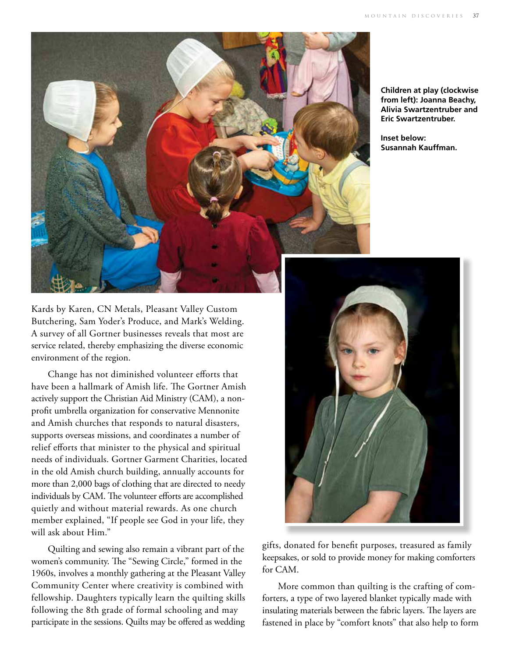

**Children at play (clockwise from left): Joanna Beachy, Alivia Swartzentruber and Eric Swartzentruber.**

**Inset below: Susannah Kauffman.**

Kards by Karen, CN Metals, Pleasant Valley Custom Butchering, Sam Yoder's Produce, and Mark's Welding. A survey of all Gortner businesses reveals that most are service related, thereby emphasizing the diverse economic environment of the region.

Change has not diminished volunteer efforts that have been a hallmark of Amish life. The Gortner Amish actively support the Christian Aid Ministry (CAM), a nonprofit umbrella organization for conservative Mennonite and Amish churches that responds to natural disasters, supports overseas missions, and coordinates a number of relief efforts that minister to the physical and spiritual needs of individuals. Gortner Garment Charities, located in the old Amish church building, annually accounts for more than 2,000 bags of clothing that are directed to needy individuals by CAM. The volunteer efforts are accomplished quietly and without material rewards. As one church member explained, "If people see God in your life, they will ask about Him."

Quilting and sewing also remain a vibrant part of the women's community. The "Sewing Circle," formed in the 1960s, involves a monthly gathering at the Pleasant Valley Community Center where creativity is combined with fellowship. Daughters typically learn the quilting skills following the 8th grade of formal schooling and may participate in the sessions. Quilts may be offered as wedding



gifts, donated for benefit purposes, treasured as family keepsakes, or sold to provide money for making comforters for CAM.

More common than quilting is the crafting of comforters, a type of two layered blanket typically made with insulating materials between the fabric layers. The layers are fastened in place by "comfort knots" that also help to form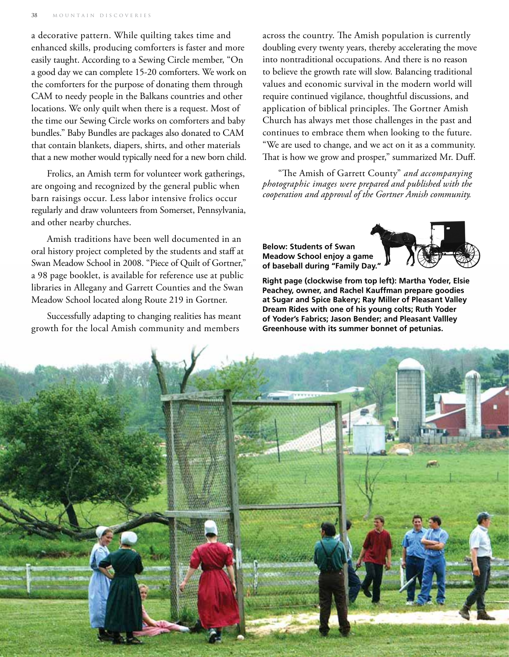a decorative pattern. While quilting takes time and enhanced skills, producing comforters is faster and more easily taught. According to a Sewing Circle member, "On a good day we can complete 15-20 comforters. We work on the comforters for the purpose of donating them through CAM to needy people in the Balkans countries and other locations. We only quilt when there is a request. Most of the time our Sewing Circle works on comforters and baby bundles." Baby Bundles are packages also donated to CAM that contain blankets, diapers, shirts, and other materials that a new mother would typically need for a new born child.

Frolics, an Amish term for volunteer work gatherings, are ongoing and recognized by the general public when barn raisings occur. Less labor intensive frolics occur regularly and draw volunteers from Somerset, Pennsylvania, and other nearby churches.

Amish traditions have been well documented in an oral history project completed by the students and staff at Swan Meadow School in 2008. "Piece of Quilt of Gortner," a 98 page booklet, is available for reference use at public libraries in Allegany and Garrett Counties and the Swan Meadow School located along Route 219 in Gortner.

Successfully adapting to changing realities has meant growth for the local Amish community and members

across the country. The Amish population is currently doubling every twenty years, thereby accelerating the move into nontraditional occupations. And there is no reason to believe the growth rate will slow. Balancing traditional values and economic survival in the modern world will require continued vigilance, thoughtful discussions, and application of biblical principles. The Gortner Amish Church has always met those challenges in the past and continues to embrace them when looking to the future. "We are used to change, and we act on it as a community. That is how we grow and prosper," summarized Mr. Duff.

"The Amish of Garrett County" *and accompanying photographic images were prepared and published with the cooperation and approval of the Gortner Amish community.*

**Below: Students of Swan Meadow School enjoy a game of baseball during "Family Day."**



**Right page (clockwise from top left): Martha Yoder, Elsie Peachey, owner, and Rachel Kauffman prepare goodies at Sugar and Spice Bakery; Ray Miller of Pleasant Valley Dream Rides with one of his young colts; Ruth Yoder of Yoder's Fabrics; Jason Bender; and Pleasant Vallley Greenhouse with its summer bonnet of petunias.**